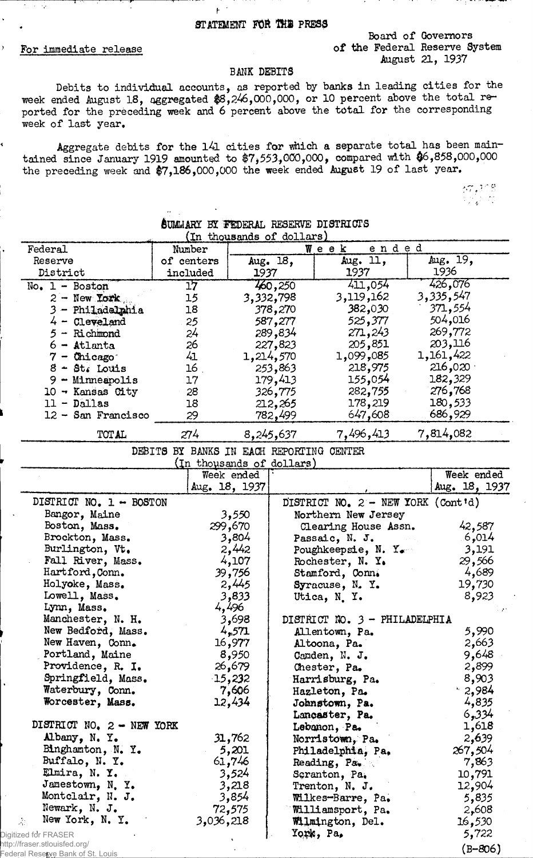## STATEMENT FOR THE PRESS

f- '

¢

ng ma

## Board of Governors For immediate release **For immediate** release of the Federal Reserve System August 21, 1937

## BANK DEBITS

Debits to individual accounts, as reported by banks in leading cities for the week ended August 18, aggregated \$8,246,000,000, or 10 percent above the total reported for the preceding week and 6 percent above the total for the corresponding week of last year.

Aggregate debits for the l4l cities for which a separate total has been maintained since January 1919 amounted to \$7\*553,000,000, compared with \$6,858,000,000 the preceding week and \$7,186,000,000 the week ended August 19 of last year.

| W<br>٠ | ŗ | - 7 | 75 |
|--------|---|-----|----|
|        |   | ٠   |    |
|        |   |     |    |

|                                   | SUMMARY BY FEDERAL RESERVE DISTRICTS                                  |                |                           |                                       |                                    |                  |  |
|-----------------------------------|-----------------------------------------------------------------------|----------------|---------------------------|---------------------------------------|------------------------------------|------------------|--|
|                                   |                                                                       |                | (In thousands of dollars) |                                       |                                    |                  |  |
| Federal                           | Number                                                                |                |                           | Week                                  | ended<br>Aug. 11,                  | Aug. 19,         |  |
| Reserve<br>District               | of centers<br>included                                                | 1937           | Aug. 18,                  | 1937                                  |                                    | 1936             |  |
| $No. 1 - Boston$                  | 17                                                                    |                | 760,250                   |                                       | 411,054                            | 426,076          |  |
| $2 -$ New York                    | 15                                                                    |                | 3,332,798                 | 3,119,162                             |                                    | 3,335,547        |  |
| - Philadelphia                    | 18                                                                    |                | 378,270                   |                                       | 382,030                            | 371,554          |  |
| $4 -$ Cleveland                   | 25                                                                    |                | 587,277                   |                                       | 525,377                            | 504,016          |  |
| $5 -$ Richmond                    | 24                                                                    |                | 289,834                   |                                       | 271,243                            | 269,772          |  |
| $6 -$ Atlanta                     | 26                                                                    |                | 227,823                   |                                       | 205,851                            | 203,116          |  |
| $7 -$ Chicago                     | 41                                                                    |                | 1,214,570                 | 1,099,085                             |                                    | 1,161,422        |  |
| $8 - 8t$ . Louis                  | 16 <sub>1</sub>                                                       |                | 253,863                   |                                       | 218,975                            | 216,020          |  |
| $9 -$ Minneapolis                 | 17                                                                    |                | 179,413                   |                                       | 155,054                            | 182,329          |  |
| $10 -$ Kansas City                | 28                                                                    |                | 326,775                   |                                       | 282,755                            | 276,768          |  |
| $11 - Dallas$                     | 18                                                                    |                | 212,265                   |                                       | 178,219                            | 180,533          |  |
| 12 - San Francisco                | 29                                                                    |                | 782,499                   |                                       | 647,608                            | 686,929          |  |
|                                   |                                                                       |                |                           |                                       |                                    |                  |  |
| <b>TOTAL</b>                      | 274                                                                   |                | 8,245,637                 |                                       | 7,496,413                          | 7,814,082        |  |
|                                   | DEBITS BY BANKS IN EACH REPORTING CENTER<br>(In thousands of dollars) |                |                           |                                       |                                    |                  |  |
|                                   |                                                                       | Week ended     |                           |                                       |                                    | Week ended       |  |
|                                   |                                                                       | Aug. 18, 1937  |                           |                                       |                                    | Aug. 18, 1937    |  |
| DISTRICT NO. 1 - BOSTON           |                                                                       |                |                           |                                       | DISTRICT NO. 2 - NEW YORK (Cont'd) |                  |  |
| Bangor, Maine                     |                                                                       | 3,550          |                           | Northern New Jersey                   |                                    |                  |  |
| Boston, Mass.                     |                                                                       | 299,670        |                           |                                       | Clearing House Assn.               | 42,587           |  |
| Brockton, Mass.                   |                                                                       | 3,804          |                           | Passaic, N. J.                        |                                    | 6,014            |  |
| Burlington, Vt.                   |                                                                       | 2,442          |                           |                                       | Poughkeepsie, N. Y.                | 3,191            |  |
| Fall River, Mass.                 |                                                                       | 4,107          |                           | Rochester, N. Y.                      |                                    | 29,566           |  |
| Hartford, Conn.                   |                                                                       | 39,756         |                           | Stamford, Conn.                       |                                    | 4,689            |  |
| Holyoke, Mass.                    |                                                                       | 2,445          |                           | Syracuse, N.Y.                        |                                    | 19,730           |  |
| Lowell, Mass.                     |                                                                       | 3,833          |                           | Utica, N.Y.                           |                                    | 8,923            |  |
| Lynn, Mass.                       |                                                                       | 4,496          |                           |                                       |                                    |                  |  |
| Manchester, N. H.                 |                                                                       | 3,698          |                           |                                       | DISTRICT NO. 3 - PHILADELPHIA      |                  |  |
| New Bedford, Mass.                |                                                                       | 4,571          |                           | Allentown, Pa.                        |                                    | 5,990            |  |
| New Haven, Conn.                  |                                                                       | 16,977         |                           | Altoona, Pa.                          |                                    | 2,663            |  |
| Portland, Maine                   |                                                                       | 8,950          |                           | Canden, N. J.                         |                                    | 9,648            |  |
| Providence, R. I.                 |                                                                       | 26,679         |                           | Chester, Pa.                          |                                    | 2,899            |  |
| Springfield, Mass.                |                                                                       | 15,232         |                           | Harrisburg, Pa.                       |                                    | 8,903            |  |
| Waterbury, Conn.                  |                                                                       | 7,606          |                           | Hazleton, Pa.                         |                                    | $^{\circ}$ 2,984 |  |
| Worcester, Mass.                  |                                                                       | 12,434         |                           | Johnstown, Pa.                        |                                    | 4,835            |  |
|                                   |                                                                       |                |                           | Lancaster, Pa.                        |                                    | 6,334            |  |
| DISTRICT NO. 2 - NEW YORK         |                                                                       |                |                           | Lebanon, Pa.                          |                                    | 1,618            |  |
| Albany, N. Y.                     |                                                                       | 31,762         |                           | Norristown, Pa.                       |                                    | 2,639            |  |
| Binghamton, N. Y.                 |                                                                       | 5,201          |                           | Philadelphia, Pa.                     |                                    | 267,504          |  |
| Buffalo, N. Y.<br>Elmira, N. Y.   |                                                                       | 61,746         |                           | Reading, Pa.                          |                                    | 7,863            |  |
| Jamestown, N.Y.                   |                                                                       | 3,524          |                           | Scranton, Pa.                         |                                    | 10,791           |  |
| Montclair, N. J.                  |                                                                       | 3,218<br>3,854 |                           | Trenton, N. J.                        |                                    | 12,904           |  |
| Newark, N. J.                     |                                                                       | 72,575         |                           | Wilkes-Barre, Pa.                     |                                    | 5,835<br>2,608   |  |
| New York, N. Y.<br>Ŵ.             | 3,036,218                                                             |                |                           | Williamsport, Pa.<br>Wilmington, Del. |                                    | 16,530           |  |
| Digitized for FRASER              |                                                                       |                |                           | York, Pa.                             |                                    | 5,722            |  |
| http://fraser.stlouisfed.org/     |                                                                       |                |                           |                                       |                                    |                  |  |
| Federal Reserve Bank of St. Louis |                                                                       |                |                           |                                       |                                    | $(B-806)$        |  |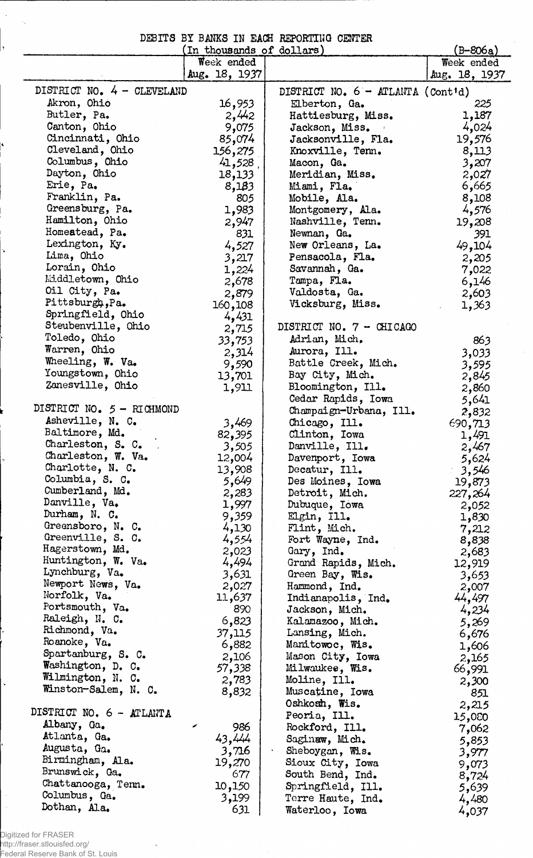| DEBITS BY BANKS IN EACH REPORTING CENTER |  |  |  |  |
|------------------------------------------|--|--|--|--|
|                                          |  |  |  |  |

 $\hat{\mathcal{E}}$ 

 $\hat{\boldsymbol{\beta}}$ 

|                                      | (In thousands of dollars) | DEDITO DI DEMAD IN ENGELEE CELING CENTER             | (B-806a)      |
|--------------------------------------|---------------------------|------------------------------------------------------|---------------|
|                                      | Week ended                |                                                      | Week ended    |
|                                      | Aug. 18, 1937             |                                                      | Aug. 18, 1937 |
| DISTRICT NO. 4 - CLEVELAND           |                           |                                                      |               |
| Akron, Ohio                          | 16,953                    | DISTRICT NO. $6 - MILANTA$ (Cont'd)<br>Elberton, Ga. | 225           |
| Butler, Pa.                          |                           |                                                      | 1,187         |
| Canton, Ohio                         | 2,442                     | Hattiesburg, Miss.                                   |               |
| Cincinnati, Ohio                     | 9,075                     | Jackson, Miss.                                       | 4,024         |
| Cleveland, Ohio                      | 85,074                    | Jacksonville, Fla.                                   | 19,576        |
| Columbus, Ohio                       | 156,275                   | Knoxville, Tenn.                                     | 8,113         |
| Dayton, Ohio                         | 41,528                    | Macon, Ga.                                           | 3,207         |
| Erie, Pa.                            | 18,133                    | Meridian, Miss.                                      | 2,027         |
| Franklin, Pa.                        | 8,183                     | Miami, Fla.                                          | 6,665         |
| Greensburg, Pa.                      | 805                       | Mobile, Ala.                                         | 8,108         |
| Hamilton, Ohio                       | 1,983                     | Montgomery, Ala.                                     | 4,576         |
| Homeatead, Pa.                       | 2,947                     | Nashville, Tenn.                                     | 19,208        |
|                                      | 831                       | Newnan, Ga.                                          | 391           |
| Lexington, Ky.                       | 4,527                     | New Orleans, La.                                     | 49,104        |
| Lima, Ohio                           | 3,217                     | Pensacola, Fla.                                      | 2,205         |
| Lorain, Ohio                         | 1,224                     | Savannah, Ga.                                        | 7,022         |
| Middletown, Ohio                     | 2,678                     | Tampa, Fla.                                          | 6,146         |
| Oil City, Pa.                        | 2,879                     | Valdosta, Ga.                                        | 2,603         |
| Pittsburgh, Pa.                      | 160,108                   | Vicksburg, Miss.                                     | 1,363         |
| Springfield, Ohio                    | 4,431                     |                                                      |               |
| Steubenville, Ohio                   | 2,715                     | DISTRICT NO. 7 - CHICAGO                             |               |
| Toledo, Ohio                         | 33,753                    | Adrian, Mich.                                        | 863           |
| Warren, Ohio                         | 2,314                     | Aurora, Ill.                                         | 3,033         |
| Wheeling, W. Va.                     | 9,590                     | Battle Creek, Mich.                                  | 3,595         |
| Youngstown, Ohio                     | 13,701                    | Bay City, Mich.                                      | 2,845         |
| Zanesville, Ohio                     | 1,911                     | Bloomington, Ill.                                    | 2,860         |
|                                      |                           | Cedar Rapids, Iowa                                   | 5,641         |
| DISTRICT NO. 5 - RICHMOND            |                           | Champaign-Urbana, Ill.                               | 2,832         |
| Asheville, N. C.                     | 3,469                     | Chicago, Ill.                                        | 690,713       |
| Baltimore, Md.                       | 82,395                    | Clinton, Iowa                                        | 1,491         |
| Charleston, S. C.                    | 3,505                     | Danville, Ill.                                       | 2,467         |
| Charleston, W. Va.                   | 12,004                    | Davenport, Iowa                                      | 5,624         |
| Charlotte, N. C.                     | 13,908                    | Decatur, Ill.                                        | $-3,546$      |
| Columbia, S. C.                      | 5,649                     | Des Moines, Iowa                                     | 19,873        |
| Cumberland, Md.                      | 2,283                     | Detroit, Mich.                                       | 227,264       |
| Danville, Va.                        | 1,997                     | Dubuque, Iowa                                        | 2,052         |
| Durham, N. C.                        | 9,359                     | Elgin, Ill.                                          | 1,830         |
| Greensboro, N. C.                    | 4,130                     | Flint, Mich.                                         | 7,212         |
| Greenville, S. C.                    | 4,554                     | Fort Wayne, Ind.                                     | 8,838         |
| Hagerstown, Md.                      | 2,023                     | Gary, Ind.                                           | 2,683         |
| Huntington, W. Va.<br>Lynchburg, Va. | 4,494                     | Grand Rapids, Mich.                                  | 12,919        |
| Newport News, Va.                    | 3,631                     | Green Bay, Wis.                                      | 3,653         |
| Norfolk, Va.                         | 2,027                     | Hammond, Ind.                                        | 2,007         |
| Portsmouth, Va.                      | 11,637                    | Indianapolis, Ind.                                   | 44,497        |
| Raleigh, N. C.                       | 890                       | Jackson, Mich.                                       | 4,234         |
| Richmond, Va.                        | 6,823                     | Kalamazoo, Mich.                                     | 5,269         |
| Roanoke, Va.                         | 37,115                    | Lansing, Mich.                                       | 6,676         |
| Spartanburg, S. C.                   | 6,882                     | Manitowoc, Wis.                                      | 1,606         |
| Washington, D. C.                    | 2,106                     | Mason City, Iowa                                     | 2,165         |
| Wilmington, N. C.                    | 57,338                    | Milwaukee, Wis.                                      | 66,991        |
| Winston-Salem, N. C.                 | 2,783                     | Moline, Ill.                                         | 2,300         |
|                                      | 8,832                     | Muscatine, Iowa                                      | 851           |
| DISTRICT NO. 6 - ATLANTA             |                           | Oshkosh, Wis.                                        | 2,215         |
| Albany, Ga.                          |                           | Peoria, Ill.                                         | 15,080        |
| Atlanta, Ga.                         | 986                       | Rockford, Ill.                                       | 7,062         |
| Augusta, Ga.                         | 43,444                    | Saginaw, Mich.                                       | 5,853         |
| Birmingham, Ala.                     | 3,716                     | Sheboygan, Wis.                                      | 3,977         |
| Brunswick, Ga.                       | 19,270                    | Sioux City, Iowa                                     | 9,073         |
|                                      | 677                       | South Bend, Ind.                                     | 8,724         |
| Chattanooga, Tenn.<br>Columbus, Ga.  | 10,150                    | Springfield, Ill.                                    | 5,639         |
| Dothan, Ala.                         | 3,199                     | Terre Haute, Ind.                                    | 4,480         |
|                                      | 631                       | Waterloo, Iowa                                       | 4,037         |

Digitized for FRASER http://fraser.stlouisfed.org/ Federal Reserve Bank of St. Louis

 $\hat{\mathbf{v}}$ 

 $\ddot{\phantom{0}}$ 

 $\frac{1}{2}$ 

 $\frac{1}{2}$ 

 $\overline{\phantom{a}}$ 

 $\vert$ y

 $\hat{\phi}_t$